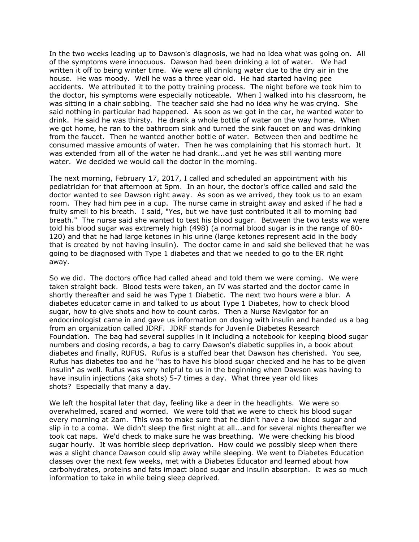In the two weeks leading up to Dawson's diagnosis, we had no idea what was going on. All of the symptoms were innocuous. Dawson had been drinking a lot of water. We had written it off to being winter time. We were all drinking water due to the dry air in the house. He was moody. Well he was a three year old. He had started having pee accidents. We attributed it to the potty training process. The night before we took him to the doctor, his symptoms were especially noticeable. When I walked into his classroom, he was sitting in a chair sobbing. The teacher said she had no idea why he was crying. She said nothing in particular had happened. As soon as we got in the car, he wanted water to drink. He said he was thirsty. He drank a whole bottle of water on the way home. When we got home, he ran to the bathroom sink and turned the sink faucet on and was drinking from the faucet. Then he wanted another bottle of water. Between then and bedtime he consumed massive amounts of water. Then he was complaining that his stomach hurt. It was extended from all of the water he had drank...and yet he was still wanting more water. We decided we would call the doctor in the morning.

The next morning, February 17, 2017, I called and scheduled an appointment with his pediatrician for that afternoon at 5pm. In an hour, the doctor's office called and said the doctor wanted to see Dawson right away. As soon as we arrived, they took us to an exam room. They had him pee in a cup. The nurse came in straight away and asked if he had a fruity smell to his breath. I said, "Yes, but we have just contributed it all to morning bad breath." The nurse said she wanted to test his blood sugar. Between the two tests we were told his blood sugar was extremely high (498) (a normal blood sugar is in the range of 80- 120) and that he had large ketones in his urine (large ketones represent acid in the body that is created by not having insulin). The doctor came in and said she believed that he was going to be diagnosed with Type 1 diabetes and that we needed to go to the ER right away.

So we did. The doctors office had called ahead and told them we were coming. We were taken straight back. Blood tests were taken, an IV was started and the doctor came in shortly thereafter and said he was Type 1 Diabetic. The next two hours were a blur. A diabetes educator came in and talked to us about Type 1 Diabetes, how to check blood sugar, how to give shots and how to count carbs. Then a Nurse Navigator for an endocrinologist came in and gave us information on dosing with insulin and handed us a bag from an organization called JDRF. JDRF stands for Juvenile Diabetes Research Foundation. The bag had several supplies in it including a notebook for keeping blood sugar numbers and dosing records, a bag to carry Dawson's diabetic supplies in, a book about diabetes and finally, RUFUS. Rufus is a stuffed bear that Dawson has cherished. You see, Rufus has diabetes too and he "has to have his blood sugar checked and he has to be given insulin" as well. Rufus was very helpful to us in the beginning when Dawson was having to have insulin injections (aka shots) 5-7 times a day. What three year old likes shots? Especially that many a day.

We left the hospital later that day, feeling like a deer in the headlights. We were so overwhelmed, scared and worried. We were told that we were to check his blood sugar every morning at 2am. This was to make sure that he didn't have a low blood sugar and slip in to a coma. We didn't sleep the first night at all...and for several nights thereafter we took cat naps. We'd check to make sure he was breathing. We were checking his blood sugar hourly. It was horrible sleep deprivation. How could we possibly sleep when there was a slight chance Dawson could slip away while sleeping. We went to Diabetes Education classes over the next few weeks, met with a Diabetes Educator and learned about how carbohydrates, proteins and fats impact blood sugar and insulin absorption. It was so much information to take in while being sleep deprived.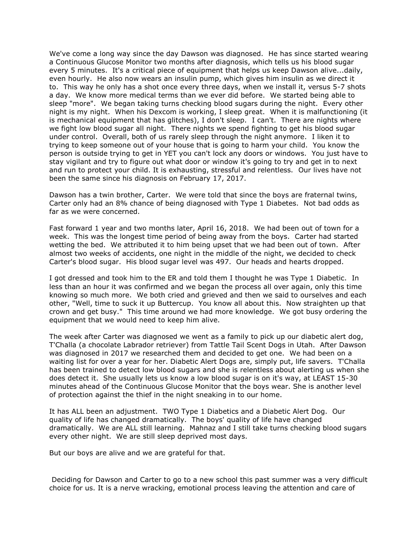We've come a long way since the day Dawson was diagnosed. He has since started wearing a Continuous Glucose Monitor two months after diagnosis, which tells us his blood sugar every 5 minutes. It's a critical piece of equipment that helps us keep Dawson alive...daily, even hourly. He also now wears an insulin pump, which gives him insulin as we direct it to. This way he only has a shot once every three days, when we install it, versus 5-7 shots a day. We know more medical terms than we ever did before. We started being able to sleep "more". We began taking turns checking blood sugars during the night. Every other night is my night. When his Dexcom is working, I sleep great. When it is malfunctioning (it is mechanical equipment that has glitches), I don't sleep. I can't. There are nights where we fight low blood sugar all night. There nights we spend fighting to get his blood sugar under control. Overall, both of us rarely sleep through the night anymore. I liken it to trying to keep someone out of your house that is going to harm your child. You know the person is outside trying to get in YET you can't lock any doors or windows. You just have to stay vigilant and try to figure out what door or window it's going to try and get in to next and run to protect your child. It is exhausting, stressful and relentless. Our lives have not been the same since his diagnosis on February 17, 2017.

Dawson has a twin brother, Carter. We were told that since the boys are fraternal twins, Carter only had an 8% chance of being diagnosed with Type 1 Diabetes. Not bad odds as far as we were concerned.

Fast forward 1 year and two months later, April 16, 2018. We had been out of town for a week. This was the longest time period of being away from the boys. Carter had started wetting the bed. We attributed it to him being upset that we had been out of town. After almost two weeks of accidents, one night in the middle of the night, we decided to check Carter's blood sugar. His blood sugar level was 497. Our heads and hearts dropped.

I got dressed and took him to the ER and told them I thought he was Type 1 Diabetic. In less than an hour it was confirmed and we began the process all over again, only this time knowing so much more. We both cried and grieved and then we said to ourselves and each other, "Well, time to suck it up Buttercup. You know all about this. Now straighten up that crown and get busy." This time around we had more knowledge. We got busy ordering the equipment that we would need to keep him alive.

The week after Carter was diagnosed we went as a family to pick up our diabetic alert dog, T'Challa (a chocolate Labrador retriever) from Tattle Tail Scent Dogs in Utah. After Dawson was diagnosed in 2017 we researched them and decided to get one. We had been on a waiting list for over a year for her. Diabetic Alert Dogs are, simply put, life savers. T'Challa has been trained to detect low blood sugars and she is relentless about alerting us when she does detect it. She usually lets us know a low blood sugar is on it's way, at LEAST 15-30 minutes ahead of the Continuous Glucose Monitor that the boys wear. She is another level of protection against the thief in the night sneaking in to our home.

It has ALL been an adjustment. TWO Type 1 Diabetics and a Diabetic Alert Dog. Our quality of life has changed dramatically. The boys' quality of life have changed dramatically. We are ALL still learning. Mahnaz and I still take turns checking blood sugars every other night. We are still sleep deprived most days.

But our boys are alive and we are grateful for that.

Deciding for Dawson and Carter to go to a new school this past summer was a very difficult choice for us. It is a nerve wracking, emotional process leaving the attention and care of